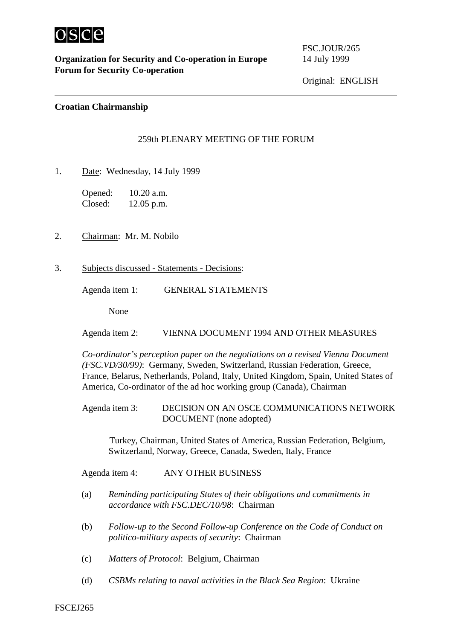

**Organization for Security and Co-operation in Europe** 14 July 1999 **Forum for Security Co-operation**

FSC.JOUR/265

## **Croatian Chairmanship**

## 259th PLENARY MEETING OF THE FORUM

1. Date: Wednesday, 14 July 1999

Opened: 10.20 a.m. Closed: 12.05 p.m.

- 2. Chairman: Mr. M. Nobilo
- 3. Subjects discussed Statements Decisions:

Agenda item 1: GENERAL STATEMENTS

None

Agenda item 2: VIENNA DOCUMENT 1994 AND OTHER MEASURES

*Co-ordinator's perception paper on the negotiations on a revised Vienna Document (FSC.VD/30/99)*: Germany, Sweden, Switzerland, Russian Federation, Greece, France, Belarus, Netherlands, Poland, Italy, United Kingdom, Spain, United States of America, Co-ordinator of the ad hoc working group (Canada), Chairman

Agenda item 3: DECISION ON AN OSCE COMMUNICATIONS NETWORK DOCUMENT (none adopted)

 Turkey, Chairman, United States of America, Russian Federation, Belgium, Switzerland, Norway, Greece, Canada, Sweden, Italy, France

Agenda item 4: ANY OTHER BUSINESS

- (a) *Reminding participating States of their obligations and commitments in accordance with FSC.DEC/10/98*: Chairman
- (b) *Follow-up to the Second Follow-up Conference on the Code of Conduct on politico-military aspects of security*: Chairman
- (c) *Matters of Protocol*: Belgium, Chairman
- (d) *CSBMs relating to naval activities in the Black Sea Region*: Ukraine

FSCEJ265